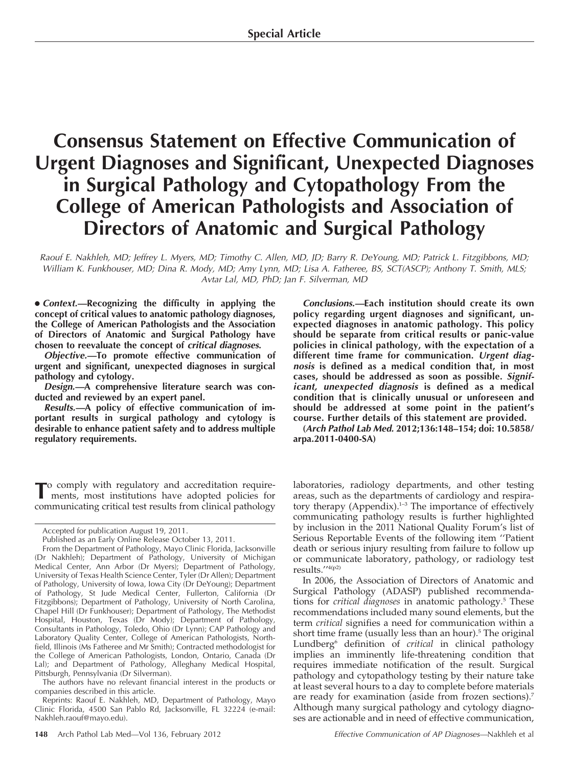# Consensus Statement on Effective Communication of Urgent Diagnoses and Significant, Unexpected Diagnoses in Surgical Pathology and Cytopathology From the College of American Pathologists and Association of Directors of Anatomic and Surgical Pathology

Raouf E. Nakhleh, MD; Jeffrey L. Myers, MD; Timothy C. Allen, MD, JD; Barry R. DeYoung, MD; Patrick L. Fitzgibbons, MD; William K. Funkhouser, MD; Dina R. Mody, MD; Amy Lynn, MD; Lisa A. Fatheree, BS, SCT(ASCP); Anthony T. Smith, MLS; Avtar Lal, MD, PhD; Jan F. Silverman, MD

• Context.—Recognizing the difficulty in applying the concept of critical values to anatomic pathology diagnoses, the College of American Pathologists and the Association of Directors of Anatomic and Surgical Pathology have chosen to reevaluate the concept of critical diagnoses.

Objective.—To promote effective communication of urgent and significant, unexpected diagnoses in surgical pathology and cytology.

Design.—A comprehensive literature search was conducted and reviewed by an expert panel.

Results.—A policy of effective communication of important results in surgical pathology and cytology is desirable to enhance patient safety and to address multiple regulatory requirements.

To comply with regulatory and accreditation require-ments, most institutions have adopted policies for communicating critical test results from clinical pathology

The authors have no relevant financial interest in the products or companies described in this article.

Reprints: Raouf E. Nakhleh, MD, Department of Pathology, Mayo Clinic Florida, 4500 San Pablo Rd, Jacksonville, FL 32224 (e-mail: Nakhleh.raouf@mayo.edu).

Conclusions.—Each institution should create its own policy regarding urgent diagnoses and significant, unexpected diagnoses in anatomic pathology. This policy should be separate from critical results or panic-value policies in clinical pathology, with the expectation of a different time frame for communication. Urgent diagnosis is defined as a medical condition that, in most cases, should be addressed as soon as possible. Significant, unexpected diagnosis is defined as a medical condition that is clinically unusual or unforeseen and should be addressed at some point in the patient's course. Further details of this statement are provided.

(Arch Pathol Lab Med. 2012;136:148–154; doi: 10.5858/ arpa.2011-0400-SA)

laboratories, radiology departments, and other testing areas, such as the departments of cardiology and respiratory therapy (Appendix).<sup>1-3</sup> The importance of effectively communicating pathology results is further highlighted by inclusion in the 2011 National Quality Forum's list of Serious Reportable Events of the following item ''Patient death or serious injury resulting from failure to follow up or communicate laboratory, pathology, or radiology test results.''4(p2)

In 2006, the Association of Directors of Anatomic and Surgical Pathology (ADASP) published recommendations for *critical diagnoses* in anatomic pathology.<sup>5</sup> These recommendations included many sound elements, but the term critical signifies a need for communication within a short time frame (usually less than an hour).<sup>5</sup> The original Lundberg<sup>6</sup> definition of critical in clinical pathology implies an imminently life-threatening condition that requires immediate notification of the result. Surgical pathology and cytopathology testing by their nature take at least several hours to a day to complete before materials are ready for examination (aside from frozen sections).7 Although many surgical pathology and cytology diagnoses are actionable and in need of effective communication,

Accepted for publication August 19, 2011.

Published as an Early Online Release October 13, 2011.

From the Department of Pathology, Mayo Clinic Florida, Jacksonville (Dr Nakhleh); Department of Pathology, University of Michigan Medical Center, Ann Arbor (Dr Myers); Department of Pathology, University of Texas Health Science Center, Tyler (Dr Allen); Department of Pathology, University of Iowa, Iowa City (Dr DeYoung); Department of Pathology, St Jude Medical Center, Fullerton, California (Dr Fitzgibbons); Department of Pathology, University of North Carolina, Chapel Hill (Dr Funkhouser); Department of Pathology, The Methodist Hospital, Houston, Texas (Dr Mody); Department of Pathology, Consultants in Pathology, Toledo, Ohio (Dr Lynn); CAP Pathology and Laboratory Quality Center, College of American Pathologists, Northfield, Illinois (Ms Fatheree and Mr Smith); Contracted methodologist for the College of American Pathologists, London, Ontario, Canada (Dr Lal); and Department of Pathology, Alleghany Medical Hospital, Pittsburgh, Pennsylvania (Dr Silverman).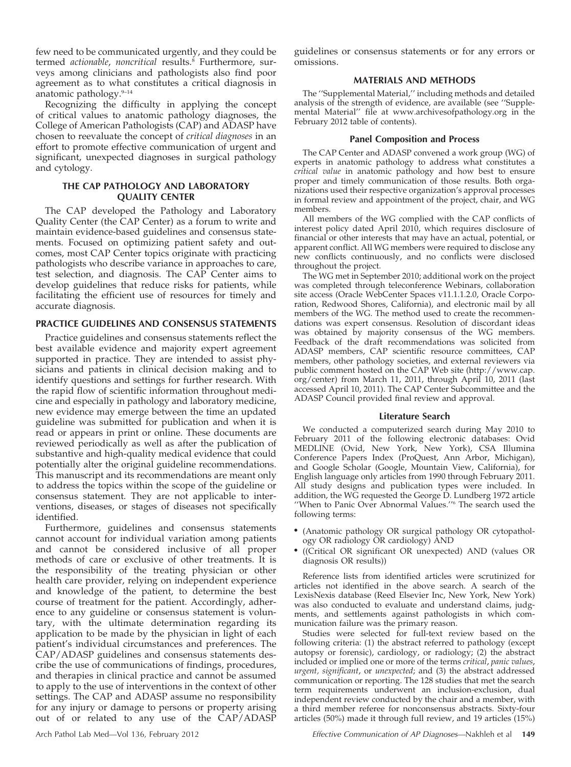few need to be communicated urgently, and they could be termed actionable, noncritical results.<sup>8</sup> Furthermore, surveys among clinicians and pathologists also find poor agreement as to what constitutes a critical diagnosis in anatomic pathology.<sup>9-14</sup>

Recognizing the difficulty in applying the concept of critical values to anatomic pathology diagnoses, the College of American Pathologists (CAP) and ADASP have chosen to reevaluate the concept of critical diagnoses in an effort to promote effective communication of urgent and significant, unexpected diagnoses in surgical pathology and cytology.

# THE CAP PATHOLOGY AND LABORATORY QUALITY CENTER

The CAP developed the Pathology and Laboratory Quality Center (the CAP Center) as a forum to write and maintain evidence-based guidelines and consensus statements. Focused on optimizing patient safety and outcomes, most CAP Center topics originate with practicing pathologists who describe variance in approaches to care, test selection, and diagnosis. The CAP Center aims to develop guidelines that reduce risks for patients, while facilitating the efficient use of resources for timely and accurate diagnosis.

# PRACTICE GUIDELINES AND CONSENSUS STATEMENTS

Practice guidelines and consensus statements reflect the best available evidence and majority expert agreement supported in practice. They are intended to assist physicians and patients in clinical decision making and to identify questions and settings for further research. With the rapid flow of scientific information throughout medicine and especially in pathology and laboratory medicine, new evidence may emerge between the time an updated guideline was submitted for publication and when it is read or appears in print or online. These documents are reviewed periodically as well as after the publication of substantive and high-quality medical evidence that could potentially alter the original guideline recommendations. This manuscript and its recommendations are meant only to address the topics within the scope of the guideline or consensus statement. They are not applicable to interventions, diseases, or stages of diseases not specifically identified.

Furthermore, guidelines and consensus statements cannot account for individual variation among patients and cannot be considered inclusive of all proper methods of care or exclusive of other treatments. It is the responsibility of the treating physician or other health care provider, relying on independent experience and knowledge of the patient, to determine the best course of treatment for the patient. Accordingly, adherence to any guideline or consensus statement is voluntary, with the ultimate determination regarding its application to be made by the physician in light of each patient's individual circumstances and preferences. The CAP/ADASP guidelines and consensus statements describe the use of communications of findings, procedures, and therapies in clinical practice and cannot be assumed to apply to the use of interventions in the context of other settings. The CAP and ADASP assume no responsibility for any injury or damage to persons or property arising out of or related to any use of the CAP/ADASP

guidelines or consensus statements or for any errors or omissions.

# MATERIALS AND METHODS

The ''Supplemental Material,'' including methods and detailed analysis of the strength of evidence, are available (see ''Supplemental Material'' file at www.archivesofpathology.org in the February 2012 table of contents).

# Panel Composition and Process

The CAP Center and ADASP convened a work group (WG) of experts in anatomic pathology to address what constitutes a critical value in anatomic pathology and how best to ensure proper and timely communication of those results. Both organizations used their respective organization's approval processes in formal review and appointment of the project, chair, and WG members.

All members of the WG complied with the CAP conflicts of interest policy dated April 2010, which requires disclosure of financial or other interests that may have an actual, potential, or apparent conflict. All WG members were required to disclose any new conflicts continuously, and no conflicts were disclosed throughout the project.

The WG met in September 2010; additional work on the project was completed through teleconference Webinars, collaboration site access (Oracle WebCenter Spaces v11.1.1.2.0, Oracle Corporation, Redwood Shores, California), and electronic mail by all members of the WG. The method used to create the recommendations was expert consensus. Resolution of discordant ideas was obtained by majority consensus of the WG members. Feedback of the draft recommendations was solicited from ADASP members, CAP scientific resource committees, CAP members, other pathology societies, and external reviewers via public comment hosted on the CAP Web site (http://www.cap. org/center) from March 11, 2011, through April 10, 2011 (last accessed April 10, 2011). The CAP Center Subcommittee and the ADASP Council provided final review and approval.

#### Literature Search

We conducted a computerized search during May 2010 to February 2011 of the following electronic databases: Ovid MEDLINE (Ovid, New York, New York), CSA Illumina Conference Papers Index (ProQuest, Ann Arbor, Michigan), and Google Scholar (Google, Mountain View, California), for English language only articles from 1990 through February 2011. All study designs and publication types were included. In addition, the WG requested the George D. Lundberg 1972 article ''When to Panic Over Abnormal Values.''6 The search used the following terms:

- . (Anatomic pathology OR surgical pathology OR cytopathology OR radiology OR cardiology) AND
- . ((Critical OR significant OR unexpected) AND (values OR diagnosis OR results))

Reference lists from identified articles were scrutinized for articles not identified in the above search. A search of the LexisNexis database (Reed Elsevier Inc, New York, New York) was also conducted to evaluate and understand claims, judgments, and settlements against pathologists in which communication failure was the primary reason.

Studies were selected for full-text review based on the following criteria: (1) the abstract referred to pathology (except autopsy or forensic), cardiology, or radiology; (2) the abstract included or implied one or more of the terms critical, panic values, urgent, significant, or unexpected; and (3) the abstract addressed communication or reporting. The 128 studies that met the search term requirements underwent an inclusion-exclusion, dual independent review conducted by the chair and a member, with a third member referee for nonconsensus abstracts. Sixty-four articles (50%) made it through full review, and 19 articles (15%)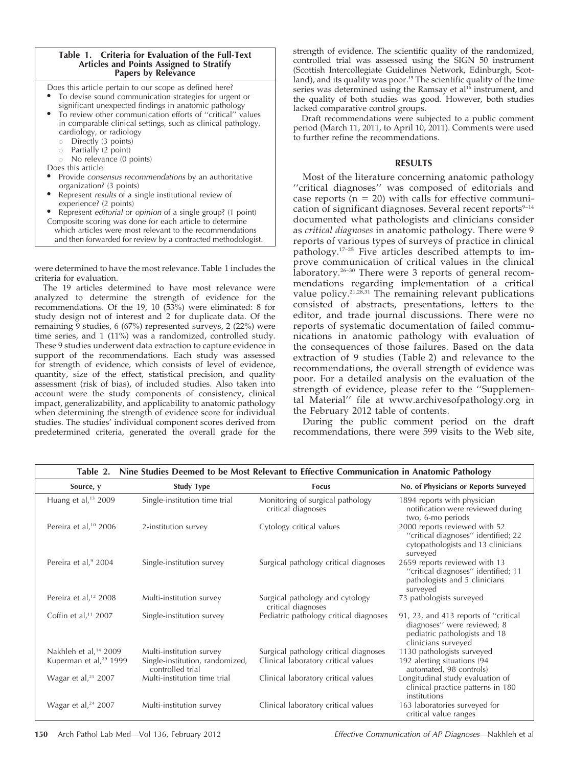# Table 1. Criteria for Evaluation of the Full-Text Articles and Points Assigned to Stratify Papers by Relevance

Does this article pertain to our scope as defined here?

- To devise sound communication strategies for urgent or significant unexpected findings in anatomic pathology To review other communication efforts of "critical" values
- in comparable clinical settings, such as clinical pathology, cardiology, or radiology
	- o Directly (3 points)
- $\circ$  Partially (2 point)
- $\circ$  No relevance (0 points)
- Does this article:
- Provide consensus recommendations by an authoritative organization? (3 points)
- Represent results of a single institutional review of experience? (2 points)
- Represent editorial or opinion of a single group? (1 point) Composite scoring was done for each article to determine which articles were most relevant to the recommendations and then forwarded for review by a contracted methodologist.

were determined to have the most relevance. Table 1 includes the criteria for evaluation.

The 19 articles determined to have most relevance were analyzed to determine the strength of evidence for the recommendations. Of the 19, 10 (53%) were eliminated: 8 for study design not of interest and 2 for duplicate data. Of the remaining 9 studies, 6 (67%) represented surveys, 2 (22%) were time series, and 1 (11%) was a randomized, controlled study. These 9 studies underwent data extraction to capture evidence in support of the recommendations. Each study was assessed for strength of evidence, which consists of level of evidence, quantity, size of the effect, statistical precision, and quality assessment (risk of bias), of included studies. Also taken into account were the study components of consistency, clinical impact, generalizability, and applicability to anatomic pathology when determining the strength of evidence score for individual studies. The studies' individual component scores derived from predetermined criteria, generated the overall grade for the

strength of evidence. The scientific quality of the randomized, controlled trial was assessed using the SIGN 50 instrument (Scottish Intercollegiate Guidelines Network, Edinburgh, Scotland), and its quality was poor.<sup>15</sup> The scientific quality of the time series was determined using the Ramsay et al<sup>16</sup> instrument, and the quality of both studies was good. However, both studies lacked comparative control groups.

Draft recommendations were subjected to a public comment period (March 11, 2011, to April 10, 2011). Comments were used to further refine the recommendations.

# RESULTS

Most of the literature concerning anatomic pathology "critical diagnoses" was composed of editorials and case reports ( $n = 20$ ) with calls for effective communication of significant diagnoses. Several recent reports $9-14$ documented what pathologists and clinicians consider as critical diagnoses in anatomic pathology. There were 9 reports of various types of surveys of practice in clinical pathology.17–25 Five articles described attempts to improve communication of critical values in the clinical laboratory.26–30 There were 3 reports of general recommendations regarding implementation of a critical value policy. $21,28,31$  The remaining relevant publications consisted of abstracts, presentations, letters to the editor, and trade journal discussions. There were no reports of systematic documentation of failed communications in anatomic pathology with evaluation of the consequences of those failures. Based on the data extraction of 9 studies (Table 2) and relevance to the recommendations, the overall strength of evidence was poor. For a detailed analysis on the evaluation of the strength of evidence, please refer to the ''Supplemental Material'' file at www.archivesofpathology.org in the February 2012 table of contents.

During the public comment period on the draft recommendations, there were 599 visits to the Web site,

| Nine Studies Deemed to be Most Relevant to Effective Communication in Anatomic Pathology<br>Table 2. |                                                     |                                                        |                                                                                                                             |
|------------------------------------------------------------------------------------------------------|-----------------------------------------------------|--------------------------------------------------------|-----------------------------------------------------------------------------------------------------------------------------|
| Source, y                                                                                            | <b>Study Type</b>                                   | <b>Focus</b>                                           | No. of Physicians or Reports Surveyed                                                                                       |
| Huang et al, $13$ 2009                                                                               | Single-institution time trial                       | Monitoring of surgical pathology<br>critical diagnoses | 1894 reports with physician<br>notification were reviewed during<br>two, 6-mo periods                                       |
| Pereira et al, <sup>10</sup> 2006                                                                    | 2-institution survey                                | Cytology critical values                               | 2000 reports reviewed with 52<br>"critical diagnoses" identified; 22<br>cytopathologists and 13 clinicians<br>surveyed      |
| Pereira et al, <sup>9</sup> 2004                                                                     | Single-institution survey                           | Surgical pathology critical diagnoses                  | 2659 reports reviewed with 13<br>"critical diagnoses" identified; 11<br>pathologists and 5 clinicians<br>surveyed           |
| Pereira et al, <sup>12</sup> 2008                                                                    | Multi-institution survey                            | Surgical pathology and cytology<br>critical diagnoses  | 73 pathologists surveyed                                                                                                    |
| Coffin et al, $11$ 2007                                                                              | Single-institution survey                           | Pediatric pathology critical diagnoses                 | 91, 23, and 413 reports of "critical<br>diagnoses" were reviewed; 8<br>pediatric pathologists and 18<br>clinicians surveyed |
| Nakhleh et al, <sup>14</sup> 2009                                                                    | Multi-institution survey                            | Surgical pathology critical diagnoses                  | 1130 pathologists surveyed                                                                                                  |
| Kuperman et al, <sup>29</sup> 1999                                                                   | Single-institution, randomized,<br>controlled trial | Clinical laboratory critical values                    | 192 alerting situations (94<br>automated, 98 controls)                                                                      |
| Wagar et al, $25$ 2007                                                                               | Multi-institution time trial                        | Clinical laboratory critical values                    | Longitudinal study evaluation of<br>clinical practice patterns in 180<br>institutions                                       |
| Wagar et al, $24$ 2007                                                                               | Multi-institution survey                            | Clinical laboratory critical values                    | 163 laboratories surveyed for<br>critical value ranges                                                                      |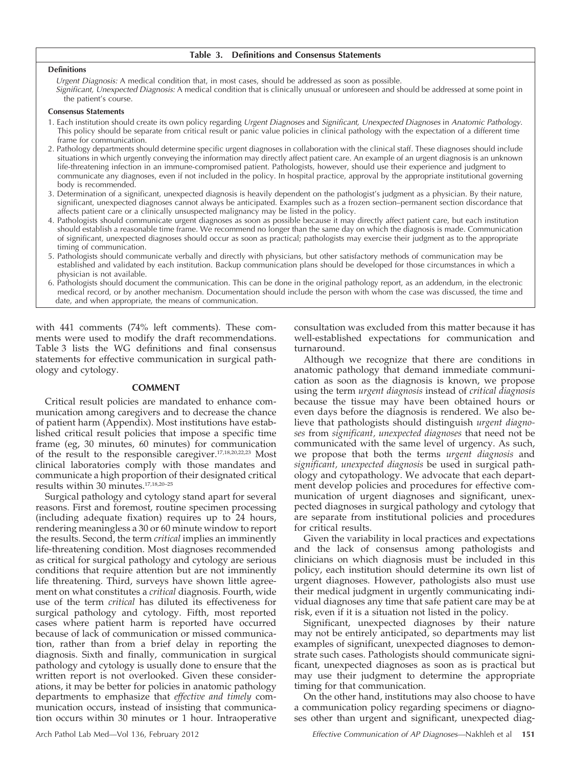#### Table 3. Definitions and Consensus Statements

#### Definitions

Urgent Diagnosis: A medical condition that, in most cases, should be addressed as soon as possible. Significant, Unexpected Diagnosis: A medical condition that is clinically unusual or unforeseen and should be addressed at some point in the patient's course.

#### Consensus Statements

- 1. Each institution should create its own policy regarding Urgent Diagnoses and Significant, Unexpected Diagnoses in Anatomic Pathology. This policy should be separate from critical result or panic value policies in clinical pathology with the expectation of a different time frame for communication.
- 2. Pathology departments should determine specific urgent diagnoses in collaboration with the clinical staff. These diagnoses should include situations in which urgently conveying the information may directly affect patient care. An example of an urgent diagnosis is an unknown life-threatening infection in an immune-compromised patient. Pathologists, however, should use their experience and judgment to communicate any diagnoses, even if not included in the policy. In hospital practice, approval by the appropriate institutional governing body is recommended.
- 3. Determination of a significant, unexpected diagnosis is heavily dependent on the pathologist's judgment as a physician. By their nature, significant, unexpected diagnoses cannot always be anticipated. Examples such as a frozen section–permanent section discordance that affects patient care or a clinically unsuspected malignancy may be listed in the policy.
- 4. Pathologists should communicate urgent diagnoses as soon as possible because it may directly affect patient care, but each institution should establish a reasonable time frame. We recommend no longer than the same day on which the diagnosis is made. Communication of significant, unexpected diagnoses should occur as soon as practical; pathologists may exercise their judgment as to the appropriate timing of communication.
- 5. Pathologists should communicate verbally and directly with physicians, but other satisfactory methods of communication may be established and validated by each institution. Backup communication plans should be developed for those circumstances in which a physician is not available.
- 6. Pathologists should document the communication. This can be done in the original pathology report, as an addendum, in the electronic medical record, or by another mechanism. Documentation should include the person with whom the case was discussed, the time and date, and when appropriate, the means of communication.

with 441 comments (74% left comments). These comments were used to modify the draft recommendations. Table 3 lists the WG definitions and final consensus statements for effective communication in surgical pathology and cytology.

# COMMENT

Critical result policies are mandated to enhance communication among caregivers and to decrease the chance of patient harm (Appendix). Most institutions have established critical result policies that impose a specific time frame (eg, 30 minutes, 60 minutes) for communication of the result to the responsible caregiver.17,18,20,22,23 Most clinical laboratories comply with those mandates and communicate a high proportion of their designated critical results within 30 minutes.17,18,20–25

Surgical pathology and cytology stand apart for several reasons. First and foremost, routine specimen processing (including adequate fixation) requires up to 24 hours, rendering meaningless a 30 or 60 minute window to report the results. Second, the term critical implies an imminently life-threatening condition. Most diagnoses recommended as critical for surgical pathology and cytology are serious conditions that require attention but are not imminently life threatening. Third, surveys have shown little agreement on what constitutes a critical diagnosis. Fourth, wide use of the term critical has diluted its effectiveness for surgical pathology and cytology. Fifth, most reported cases where patient harm is reported have occurred because of lack of communication or missed communication, rather than from a brief delay in reporting the diagnosis. Sixth and finally, communication in surgical pathology and cytology is usually done to ensure that the written report is not overlooked. Given these considerations, it may be better for policies in anatomic pathology departments to emphasize that effective and timely communication occurs, instead of insisting that communication occurs within 30 minutes or 1 hour. Intraoperative

consultation was excluded from this matter because it has well-established expectations for communication and turnaround.

Although we recognize that there are conditions in anatomic pathology that demand immediate communication as soon as the diagnosis is known, we propose using the term urgent diagnosis instead of critical diagnosis because the tissue may have been obtained hours or even days before the diagnosis is rendered. We also believe that pathologists should distinguish urgent diagnoses from significant, unexpected diagnoses that need not be communicated with the same level of urgency. As such, we propose that both the terms urgent diagnosis and significant, unexpected diagnosis be used in surgical pathology and cytopathology. We advocate that each department develop policies and procedures for effective communication of urgent diagnoses and significant, unexpected diagnoses in surgical pathology and cytology that are separate from institutional policies and procedures for critical results.

Given the variability in local practices and expectations and the lack of consensus among pathologists and clinicians on which diagnosis must be included in this policy, each institution should determine its own list of urgent diagnoses. However, pathologists also must use their medical judgment in urgently communicating individual diagnoses any time that safe patient care may be at risk, even if it is a situation not listed in the policy.

Significant, unexpected diagnoses by their nature may not be entirely anticipated, so departments may list examples of significant, unexpected diagnoses to demonstrate such cases. Pathologists should communicate significant, unexpected diagnoses as soon as is practical but may use their judgment to determine the appropriate timing for that communication.

On the other hand, institutions may also choose to have a communication policy regarding specimens or diagnoses other than urgent and significant, unexpected diag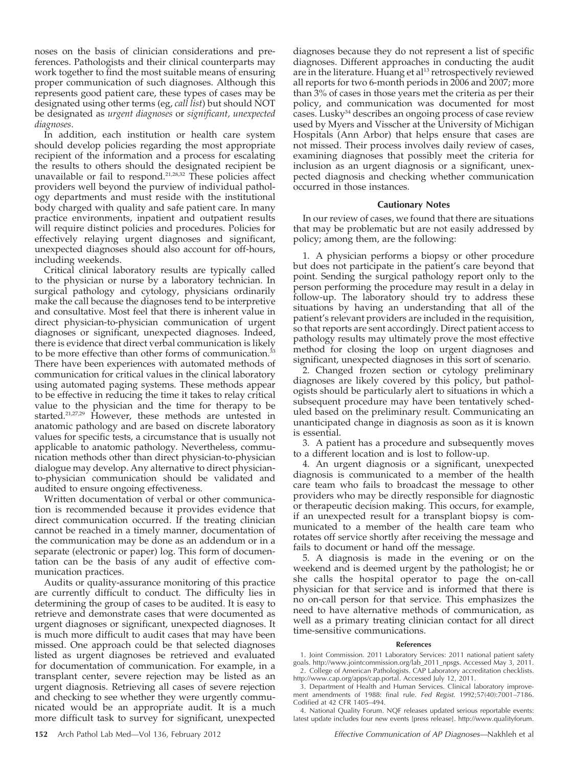noses on the basis of clinician considerations and preferences. Pathologists and their clinical counterparts may work together to find the most suitable means of ensuring proper communication of such diagnoses. Although this represents good patient care, these types of cases may be designated using other terms (eg, call list) but should NOT be designated as urgent diagnoses or significant, unexpected diagnoses.

In addition, each institution or health care system should develop policies regarding the most appropriate recipient of the information and a process for escalating the results to others should the designated recipient be unavailable or fail to respond.<sup>21,28,32</sup> These policies affect providers well beyond the purview of individual pathology departments and must reside with the institutional body charged with quality and safe patient care. In many practice environments, inpatient and outpatient results will require distinct policies and procedures. Policies for effectively relaying urgent diagnoses and significant, unexpected diagnoses should also account for off-hours, including weekends.

Critical clinical laboratory results are typically called to the physician or nurse by a laboratory technician. In surgical pathology and cytology, physicians ordinarily make the call because the diagnoses tend to be interpretive and consultative. Most feel that there is inherent value in direct physician-to-physician communication of urgent diagnoses or significant, unexpected diagnoses. Indeed, there is evidence that direct verbal communication is likely to be more effective than other forms of communication.<sup>33</sup> There have been experiences with automated methods of communication for critical values in the clinical laboratory using automated paging systems. These methods appear to be effective in reducing the time it takes to relay critical value to the physician and the time for therapy to be started.<sup>21,27,29</sup> However, these methods are untested in anatomic pathology and are based on discrete laboratory values for specific tests, a circumstance that is usually not applicable to anatomic pathology. Nevertheless, communication methods other than direct physician-to-physician dialogue may develop. Any alternative to direct physicianto-physician communication should be validated and audited to ensure ongoing effectiveness.

Written documentation of verbal or other communication is recommended because it provides evidence that direct communication occurred. If the treating clinician cannot be reached in a timely manner, documentation of the communication may be done as an addendum or in a separate (electronic or paper) log. This form of documentation can be the basis of any audit of effective communication practices.

Audits or quality-assurance monitoring of this practice are currently difficult to conduct. The difficulty lies in determining the group of cases to be audited. It is easy to retrieve and demonstrate cases that were documented as urgent diagnoses or significant, unexpected diagnoses. It is much more difficult to audit cases that may have been missed. One approach could be that selected diagnoses listed as urgent diagnoses be retrieved and evaluated for documentation of communication. For example, in a transplant center, severe rejection may be listed as an urgent diagnosis. Retrieving all cases of severe rejection and checking to see whether they were urgently communicated would be an appropriate audit. It is a much more difficult task to survey for significant, unexpected

diagnoses because they do not represent a list of specific diagnoses. Different approaches in conducting the audit are in the literature. Huang et al<sup>13</sup> retrospectively reviewed all reports for two 6-month periods in 2006 and 2007; more than 3% of cases in those years met the criteria as per their policy, and communication was documented for most cases. Lusky34 describes an ongoing process of case review used by Myers and Visscher at the University of Michigan Hospitals (Ann Arbor) that helps ensure that cases are not missed. Their process involves daily review of cases, examining diagnoses that possibly meet the criteria for inclusion as an urgent diagnosis or a significant, unexpected diagnosis and checking whether communication occurred in those instances.

#### Cautionary Notes

In our review of cases, we found that there are situations that may be problematic but are not easily addressed by policy; among them, are the following:

1. A physician performs a biopsy or other procedure but does not participate in the patient's care beyond that point. Sending the surgical pathology report only to the person performing the procedure may result in a delay in follow-up. The laboratory should try to address these situations by having an understanding that all of the patient's relevant providers are included in the requisition, so that reports are sent accordingly. Direct patient access to pathology results may ultimately prove the most effective method for closing the loop on urgent diagnoses and significant, unexpected diagnoses in this sort of scenario.

2. Changed frozen section or cytology preliminary diagnoses are likely covered by this policy, but pathologists should be particularly alert to situations in which a subsequent procedure may have been tentatively scheduled based on the preliminary result. Communicating an unanticipated change in diagnosis as soon as it is known is essential.

3. A patient has a procedure and subsequently moves to a different location and is lost to follow-up.

4. An urgent diagnosis or a significant, unexpected diagnosis is communicated to a member of the health care team who fails to broadcast the message to other providers who may be directly responsible for diagnostic or therapeutic decision making. This occurs, for example, if an unexpected result for a transplant biopsy is communicated to a member of the health care team who rotates off service shortly after receiving the message and fails to document or hand off the message.

5. A diagnosis is made in the evening or on the weekend and is deemed urgent by the pathologist; he or she calls the hospital operator to page the on-call physician for that service and is informed that there is no on-call person for that service. This emphasizes the need to have alternative methods of communication, as well as a primary treating clinician contact for all direct time-sensitive communications.

#### References

1. Joint Commission. 2011 Laboratory Services: 2011 national patient safety goals. http://www.jointcommission.org/lab\_2011\_npsgs. Accessed May 3, 2011. 2. College of American Pathologists. CAP Laboratory accreditation checklists. http://www.cap.org/apps/cap.portal. Accessed July 12, 2011.

3. Department of Health and Human Services. Clinical laboratory improvement amendments of 1988: final rule. Fed Regist. 1992;57(40):7001–7186. Codified at 42 CFR 1405–494.

4. National Quality Forum. NQF releases updated serious reportable events: latest update includes four new events [press release]. http://www.qualityforum.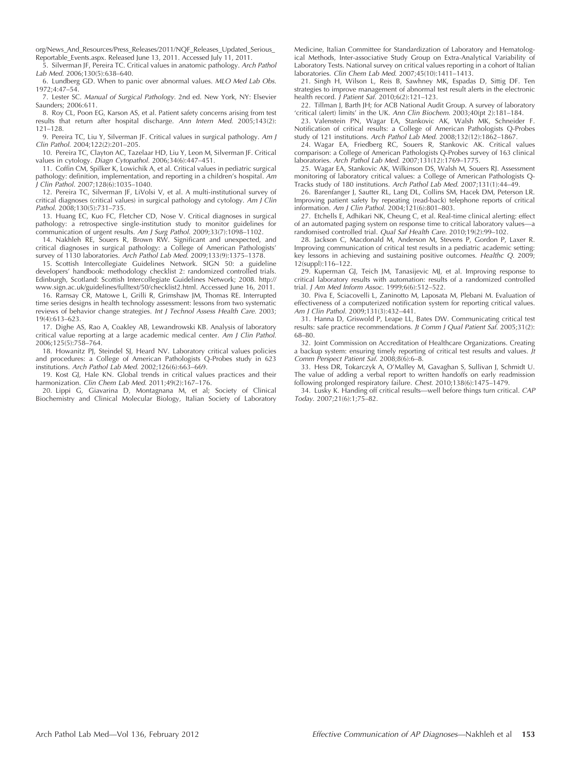org/News\_And\_Resources/Press\_Releases/2011/NQF\_Releases\_Updated\_Serious\_ Reportable\_Events.aspx. Released June 13, 2011. Accessed July 11, 2011.

5. Silverman JF, Pereira TC. Critical values in anatomic pathology. Arch Pathol Lab Med. 2006;130(5):638–640.

6. Lundberg GD. When to panic over abnormal values. MLO Med Lab Obs. 1972;4:47–54.

7. Lester SC. Manual of Surgical Pathology. 2nd ed. New York, NY: Elsevier Saunders; 2006:611.

8. Roy CL, Poon EG, Karson AS, et al. Patient safety concerns arising from test results that return after hospital discharge. Ann Intern Med. 2005;143(2): 121–128.

9. Pereira TC, Liu Y, Silverman JF. Critical values in surgical pathology. Am J Clin Pathol. 2004;122(2):201–205.

10. Pereira TC, Clayton AC, Tazelaar HD, Liu Y, Leon M, Silverman JF. Critical values in cytology. Diagn Cytopathol. 2006;34(6):447–451.

11. Coffin CM, Spilker K, Lowichik A, et al. Critical values in pediatric surgical pathology: definition, implementation, and reporting in a children's hospital. Am J Clin Pathol. 2007;128(6):1035–1040.

12. Pereira TC, Silverman JF, LiVolsi V, et al. A multi-institutional survey of critical diagnoses (critical values) in surgical pathology and cytology. Am J Clin Pathol. 2008;130(5):731–735.

13. Huang EC, Kuo FC, Fletcher CD, Nose V. Critical diagnoses in surgical pathology: a retrospective single-institution study to monitor guidelines for communication of urgent results. Am J Surg Pathol. 2009;33(7):1098-1102.

14. Nakhleh RE, Souers R, Brown RW. Significant and unexpected, and critical diagnoses in surgical pathology: a College of American Pathologists' survey of 1130 laboratories. Arch Pathol Lab Med. 2009;133(9):1375–1378.

15. Scottish Intercollegiate Guidelines Network. SIGN 50: a guideline developers' handbook: methodology checklist 2: randomized controlled trials. Edinburgh, Scotland: Scottish Intercollegiate Guidelines Network; 2008. http:// www.sign.ac.uk/guidelines/fulltext/50/checklist2.html. Accessed June 16, 2011.

16. Ramsay CR, Matowe L, Grilli R, Grimshaw JM, Thomas RE. Interrupted time series designs in health technology assessment: lessons from two systematic reviews of behavior change strategies. Int J Technol Assess Health Care. 2003; 19(4):613–623.

17. Dighe AS, Rao A, Coakley AB, Lewandrowski KB. Analysis of laboratory critical value reporting at a large academic medical center. Am J Clin Pathol. 2006;125(5):758–764.

18. Howanitz PJ, Steindel SJ, Heard NV. Laboratory critical values policies and procedures: a College of American Pathologists Q-Probes study in 623 institutions. Arch Pathol Lab Med. 2002;126(6):663–669.

19. Kost GJ, Hale KN. Global trends in critical values practices and their harmonization. Clin Chem Lab Med. 2011;49(2):167-176.

20. Lippi G, Giavarina D, Montagnana M, et al; Society of Clinical Biochemistry and Clinical Molecular Biology, Italian Society of Laboratory Medicine, Italian Committee for Standardization of Laboratory and Hematological Methods, Inter-associative Study Group on Extra-Analytical Variability of Laboratory Tests. National survey on critical values reporting in a cohort of Italian laboratories. Clin Chem Lab Med. 2007;45(10):1411–1413.

21. Singh H, Wilson L, Reis B, Sawhney MK, Espadas D, Sittig DF. Ten strategies to improve management of abnormal test result alerts in the electronic health record. J Patient Saf. 2010;6(2):121–123.

22. Tillman J, Barth JH; for ACB National Audit Group. A survey of laboratory 'critical (alert) limits' in the UK. Ann Clin Biochem. 2003;40(pt 2):181–184.

23. Valenstein PN, Wagar EA, Stankovic AK, Walsh MK, Schneider F. Notification of critical results: a College of American Pathologists Q-Probes study of 121 institutions. Arch Pathol Lab Med. 2008;132(12):1862–1867.

24. Wagar EA, Friedberg RC, Souers R, Stankovic AK. Critical values comparison: a College of American Pathologists Q-Probes survey of 163 clinical laboratories. Arch Pathol Lab Med. 2007;131(12):1769–1775.

25. Wagar EA, Stankovic AK, Wilkinson DS, Walsh M, Souers RJ. Assessment monitoring of laboratory critical values: a College of American Pathologists Q-Tracks study of 180 institutions. Arch Pathol Lab Med. 2007;131(1):44–49.

26. Barenfanger J, Sautter RL, Lang DL, Collins SM, Hacek DM, Peterson LR. Improving patient safety by repeating (read-back) telephone reports of critical information. Am J Clin Pathol. 2004;121(6):801–803.

27. Etchells E, Adhikari NK, Cheung C, et al. Real-time clinical alerting: effect of an automated paging system on response time to critical laboratory valuesrandomised controlled trial. Qual Saf Health Care. 2010;19(2):99–102.

28. Jackson C, Macdonald M, Anderson M, Stevens P, Gordon P, Laxer R. Improving communication of critical test results in a pediatric academic setting: key lessons in achieving and sustaining positive outcomes. Healthc Q. 2009; 12(suppl):116–122.

29. Kuperman GJ, Teich JM, Tanasijevic MJ, et al. Improving response to critical laboratory results with automation: results of a randomized controlled trial. J Am Med Inform Assoc. 1999;6(6):512–522.

30. Piva E, Sciacovelli L, Zaninotto M, Laposata M, Plebani M. Evaluation of effectiveness of a computerized notification system for reporting critical values. Am J Clin Pathol. 2009;131(3):432-441.

31. Hanna D, Griswold P, Leape LL, Bates DW. Communicating critical test results: safe practice recommendations. Jt Comm J Qual Patient Saf. 2005;31(2): 68–80.

32. Joint Commission on Accreditation of Healthcare Organizations. Creating a backup system: ensuring timely reporting of critical test results and values. Jt Comm Perspect Patient Saf. 2008;8(6):6–8.

33. Hess DR, Tokarczyk A, O'Malley M, Gavaghan S, Sullivan J, Schmidt U. The value of adding a verbal report to written handoffs on early readmission following prolonged respiratory failure. Chest. 2010;138(6):1475–1479.

34. Lusky K. Handing off critical results—well before things turn critical. CAP Today. 2007;21(6):1;75–82.